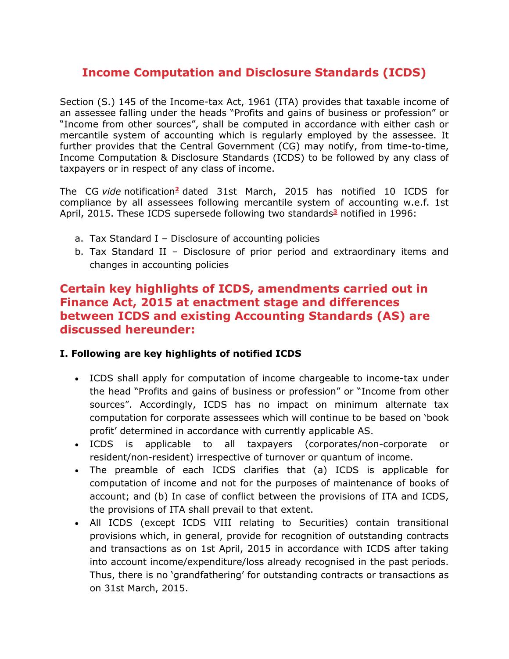# **Income Computation and Disclosure Standards (ICDS)**

Section (S.) 145 of the Income-tax Act, 1961 (ITA) provides that taxable income of an assessee falling under the heads "Profits and gains of business or profession" or "Income from other sources", shall be computed in accordance with either cash or mercantile system of accounting which is regularly employed by the assessee. It further provides that the Central Government (CG) may notify, from time-to-time, Income Computation & Disclosure Standards (ICDS) to be followed by any class of taxpayers or in respect of any class of income.

The CG *vide* notification**[2](https://www.bcasonline.org/Referencer2016-17/Taxation/Income%20Tax/Income_Computation_and_Disclosure_Standards_(ICDS).html#note%202)** dated 31st March, 2015 has notified 10 ICDS for compliance by all assessees following mercantile system of accounting w.e.f. 1st April, 2015. These ICDS supersede following two standards**[3](https://www.bcasonline.org/Referencer2016-17/Taxation/Income%20Tax/Income_Computation_and_Disclosure_Standards_(ICDS).html#note%203)** notified in 1996:

- a. Tax Standard I Disclosure of accounting policies
- b. Tax Standard II Disclosure of prior period and extraordinary items and changes in accounting policies

## **Certain key highlights of ICDS, amendments carried out in Finance Act, 2015 at enactment stage and differences between ICDS and existing Accounting Standards (AS) are discussed hereunder:**

### **I. Following are key highlights of notified ICDS**

- ICDS shall apply for computation of income chargeable to income-tax under the head "Profits and gains of business or profession" or "Income from other sources". Accordingly, ICDS has no impact on minimum alternate tax computation for corporate assessees which will continue to be based on 'book profit' determined in accordance with currently applicable AS.
- ICDS is applicable to all taxpayers (corporates/non-corporate or resident/non-resident) irrespective of turnover or quantum of income.
- The preamble of each ICDS clarifies that (a) ICDS is applicable for computation of income and not for the purposes of maintenance of books of account; and (b) In case of conflict between the provisions of ITA and ICDS, the provisions of ITA shall prevail to that extent.
- All ICDS (except ICDS VIII relating to Securities) contain transitional provisions which, in general, provide for recognition of outstanding contracts and transactions as on 1st April, 2015 in accordance with ICDS after taking into account income/expenditure/loss already recognised in the past periods. Thus, there is no 'grandfathering' for outstanding contracts or transactions as on 31st March, 2015.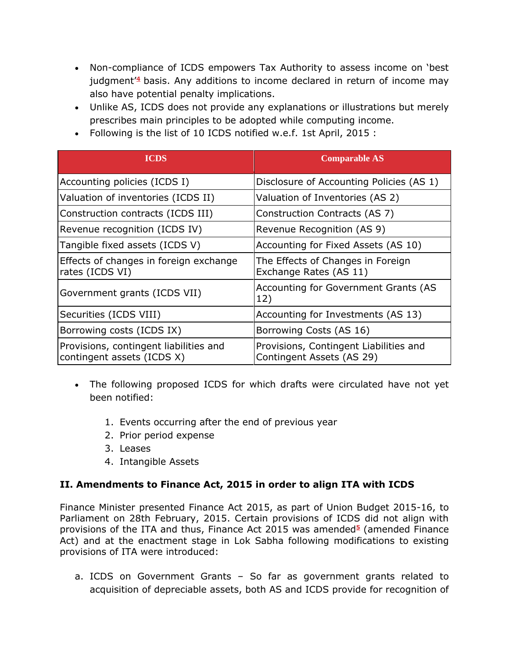- Non-compliance of ICDS empowers Tax Authority to assess income on 'best judgment'**[4](https://www.bcasonline.org/Referencer2016-17/Taxation/Income%20Tax/Income_Computation_and_Disclosure_Standards_(ICDS).html#note%204)** basis. Any additions to income declared in return of income may also have potential penalty implications.
- Unlike AS, ICDS does not provide any explanations or illustrations but merely prescribes main principles to be adopted while computing income.
- Following is the list of 10 ICDS notified w.e.f. 1st April, 2015 :

| <b>ICDS</b>                                                          | <b>Comparable AS</b>                                                |
|----------------------------------------------------------------------|---------------------------------------------------------------------|
| Accounting policies (ICDS I)                                         | Disclosure of Accounting Policies (AS 1)                            |
| Valuation of inventories (ICDS II)                                   | Valuation of Inventories (AS 2)                                     |
| Construction contracts (ICDS III)                                    | Construction Contracts (AS 7)                                       |
| Revenue recognition (ICDS IV)                                        | Revenue Recognition (AS 9)                                          |
| Tangible fixed assets (ICDS V)                                       | Accounting for Fixed Assets (AS 10)                                 |
| Effects of changes in foreign exchange<br>rates (ICDS VI)            | The Effects of Changes in Foreign<br>Exchange Rates (AS 11)         |
| Government grants (ICDS VII)                                         | Accounting for Government Grants (AS<br>12)                         |
| Securities (ICDS VIII)                                               | Accounting for Investments (AS 13)                                  |
| Borrowing costs (ICDS IX)                                            | Borrowing Costs (AS 16)                                             |
| Provisions, contingent liabilities and<br>contingent assets (ICDS X) | Provisions, Contingent Liabilities and<br>Contingent Assets (AS 29) |

- The following proposed ICDS for which drafts were circulated have not yet been notified:
	- 1. Events occurring after the end of previous year
	- 2. Prior period expense
	- 3. Leases
	- 4. Intangible Assets

### **II. Amendments to Finance Act, 2015 in order to align ITA with ICDS**

Finance Minister presented Finance Act 2015, as part of Union Budget 2015-16, to Parliament on 28th February, 2015. Certain provisions of ICDS did not align with provisions of the ITA and thus, Finance Act 201[5](https://www.bcasonline.org/Referencer2016-17/Taxation/Income%20Tax/Income_Computation_and_Disclosure_Standards_(ICDS).html#note%205) was amended<sup>5</sup> (amended Finance Act) and at the enactment stage in Lok Sabha following modifications to existing provisions of ITA were introduced:

a. ICDS on Government Grants – So far as government grants related to acquisition of depreciable assets, both AS and ICDS provide for recognition of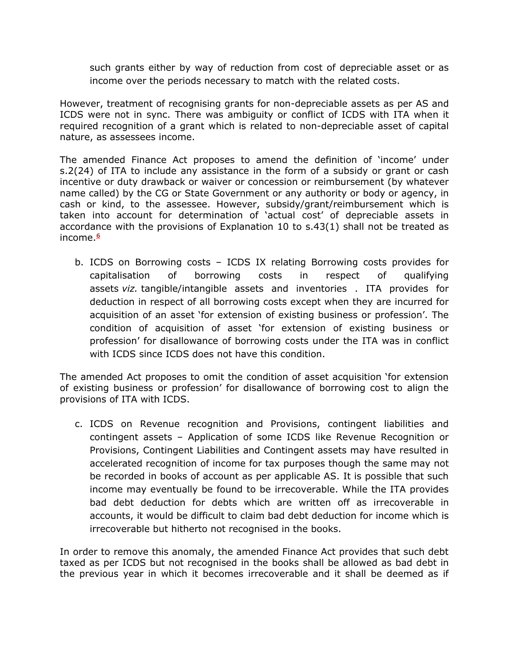such grants either by way of reduction from cost of depreciable asset or as income over the periods necessary to match with the related costs.

However, treatment of recognising grants for non-depreciable assets as per AS and ICDS were not in sync. There was ambiguity or conflict of ICDS with ITA when it required recognition of a grant which is related to non-depreciable asset of capital nature, as assessees income.

The amended Finance Act proposes to amend the definition of 'income' under s.2(24) of ITA to include any assistance in the form of a subsidy or grant or cash incentive or duty drawback or waiver or concession or reimbursement (by whatever name called) by the CG or State Government or any authority or body or agency, in cash or kind, to the assessee. However, subsidy/grant/reimbursement which is taken into account for determination of 'actual cost' of depreciable assets in accordance with the provisions of Explanation 10 to s.43(1) shall not be treated as income.**[6](https://www.bcasonline.org/Referencer2016-17/Taxation/Income%20Tax/Income_Computation_and_Disclosure_Standards_(ICDS).html#note%206)**

b. ICDS on Borrowing costs – ICDS IX relating Borrowing costs provides for capitalisation of borrowing costs in respect of qualifying assets *viz.* tangible/intangible assets and inventories . ITA provides for deduction in respect of all borrowing costs except when they are incurred for acquisition of an asset 'for extension of existing business or profession'. The condition of acquisition of asset 'for extension of existing business or profession' for disallowance of borrowing costs under the ITA was in conflict with ICDS since ICDS does not have this condition.

The amended Act proposes to omit the condition of asset acquisition 'for extension of existing business or profession' for disallowance of borrowing cost to align the provisions of ITA with ICDS.

c. ICDS on Revenue recognition and Provisions, contingent liabilities and contingent assets – Application of some ICDS like Revenue Recognition or Provisions, Contingent Liabilities and Contingent assets may have resulted in accelerated recognition of income for tax purposes though the same may not be recorded in books of account as per applicable AS. It is possible that such income may eventually be found to be irrecoverable. While the ITA provides bad debt deduction for debts which are written off as irrecoverable in accounts, it would be difficult to claim bad debt deduction for income which is irrecoverable but hitherto not recognised in the books.

In order to remove this anomaly, the amended Finance Act provides that such debt taxed as per ICDS but not recognised in the books shall be allowed as bad debt in the previous year in which it becomes irrecoverable and it shall be deemed as if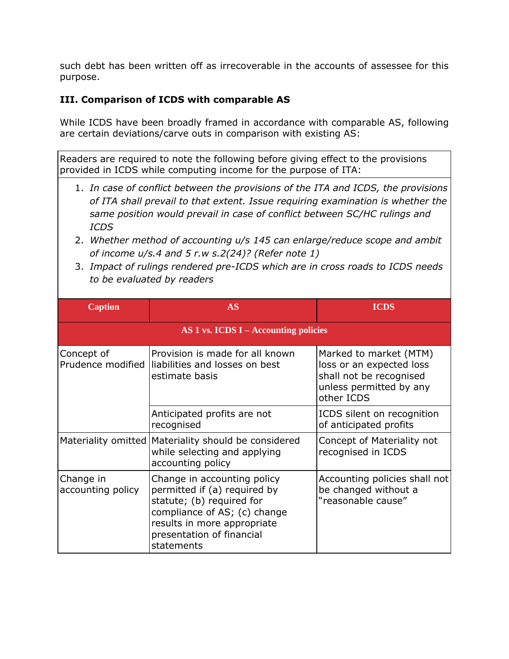such debt has been written off as irrecoverable in the accounts of assessee for this purpose.

#### **III. Comparison of ICDS with comparable AS**

While ICDS have been broadly framed in accordance with comparable AS, following are certain deviations/carve outs in comparison with existing AS:

Readers are required to note the following before giving effect to the provisions provided in ICDS while computing income for the purpose of ITA:

- 1. *In case of conflict between the provisions of the ITA and ICDS, the provisions of ITA shall prevail to that extent. Issue requiring examination is whether the same position would prevail in case of conflict between SC/HC rulings and ICDS*
- 2. *Whether method of accounting u/s 145 can enlarge/reduce scope and ambit of income u/s.4 and 5 r.w s.2(24)? (Refer note 1)*
- 3. *Impact of rulings rendered pre-ICDS which are in cross roads to ICDS needs to be evaluated by readers*

| <b>Caption</b>                 | AS                                                                                                                                                                                                 | <b>ICDS</b>                                                                                                            |
|--------------------------------|----------------------------------------------------------------------------------------------------------------------------------------------------------------------------------------------------|------------------------------------------------------------------------------------------------------------------------|
|                                | AS 1 vs. ICDS I – Accounting policies                                                                                                                                                              |                                                                                                                        |
| Concept of                     | Provision is made for all known<br>Prudence modified   liabilities and losses on best<br>estimate basis                                                                                            | Marked to market (MTM)<br>loss or an expected loss<br>shall not be recognised<br>unless permitted by any<br>other ICDS |
|                                | Anticipated profits are not<br>recognised                                                                                                                                                          | ICDS silent on recognition<br>of anticipated profits                                                                   |
|                                | Materiality omitted Materiality should be considered<br>while selecting and applying<br>accounting policy                                                                                          | Concept of Materiality not<br>recognised in ICDS                                                                       |
| Change in<br>accounting policy | Change in accounting policy<br>permitted if (a) required by<br>statute; (b) required for<br>compliance of AS; (c) change<br>results in more appropriate<br>presentation of financial<br>statements | Accounting policies shall not<br>be changed without a<br>"reasonable cause"                                            |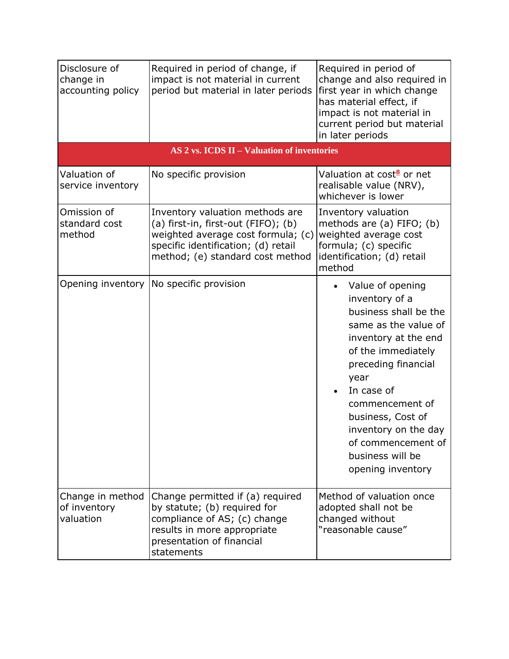| Disclosure of<br>change in<br>accounting policy | Required in period of change, if<br>impact is not material in current<br>period but material in later periods                                                                           | Required in period of<br>change and also required in<br>first year in which change<br>has material effect, if<br>impact is not material in<br>current period but material<br>in later periods                                                                                                                 |
|-------------------------------------------------|-----------------------------------------------------------------------------------------------------------------------------------------------------------------------------------------|---------------------------------------------------------------------------------------------------------------------------------------------------------------------------------------------------------------------------------------------------------------------------------------------------------------|
|                                                 | AS 2 vs. ICDS II – Valuation of inventories                                                                                                                                             |                                                                                                                                                                                                                                                                                                               |
| Valuation of<br>service inventory               | No specific provision                                                                                                                                                                   | Valuation at cost <sup>8</sup> or net<br>realisable value (NRV),<br>whichever is lower                                                                                                                                                                                                                        |
| Omission of<br>standard cost<br>method          | Inventory valuation methods are<br>(a) first-in, first-out (FIFO); (b)<br>weighted average cost formula; (c)<br>specific identification; (d) retail<br>method; (e) standard cost method | Inventory valuation<br>methods are (a) FIFO; (b)<br>weighted average cost<br>formula; (c) specific<br>identification; (d) retail<br>method                                                                                                                                                                    |
| Opening inventory                               | No specific provision                                                                                                                                                                   | Value of opening<br>inventory of a<br>business shall be the<br>same as the value of<br>inventory at the end<br>of the immediately<br>preceding financial<br>year<br>In case of<br>commencement of<br>business, Cost of<br>inventory on the day<br>of commencement of<br>business will be<br>opening inventory |
| Change in method<br>of inventory<br>valuation   | Change permitted if (a) required<br>by statute; (b) required for<br>compliance of AS; (c) change<br>results in more appropriate<br>presentation of financial<br>statements              | Method of valuation once<br>adopted shall not be<br>changed without<br>"reasonable cause"                                                                                                                                                                                                                     |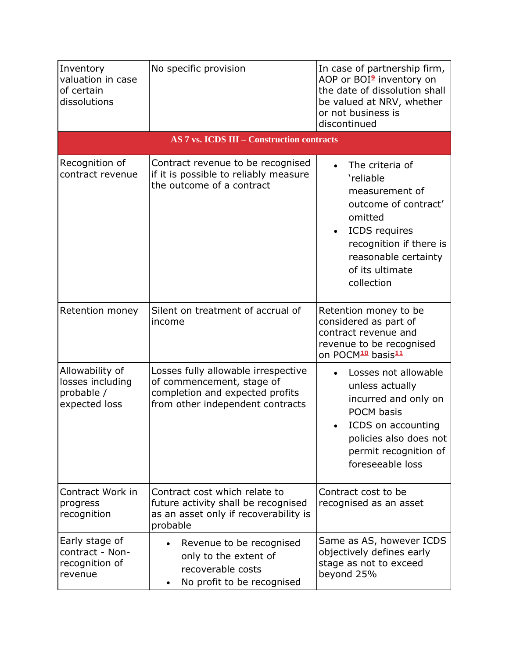| Inventory<br>valuation in case<br>of certain<br>dissolutions       | No specific provision                                                                                                                   | In case of partnership firm,<br>AOP or BOI <sup>9</sup> inventory on<br>the date of dissolution shall<br>be valued at NRV, whether<br>or not business is<br>discontinued                            |
|--------------------------------------------------------------------|-----------------------------------------------------------------------------------------------------------------------------------------|-----------------------------------------------------------------------------------------------------------------------------------------------------------------------------------------------------|
|                                                                    | <b>AS 7 vs. ICDS III – Construction contracts</b>                                                                                       |                                                                                                                                                                                                     |
| Recognition of<br>contract revenue                                 | Contract revenue to be recognised<br>if it is possible to reliably measure<br>the outcome of a contract                                 | The criteria of<br>'reliable<br>measurement of<br>outcome of contract'<br>omitted<br>ICDS requires<br>$\bullet$<br>recognition if there is<br>reasonable certainty<br>of its ultimate<br>collection |
| Retention money                                                    | Silent on treatment of accrual of<br>income                                                                                             | Retention money to be<br>considered as part of<br>contract revenue and<br>revenue to be recognised<br>on POCM <sup>10</sup> basis <sup>11</sup>                                                     |
| Allowability of<br>losses including<br>probable /<br>expected loss | Losses fully allowable irrespective<br>of commencement, stage of<br>completion and expected profits<br>from other independent contracts | Losses not allowable<br>unless actually<br>incurred and only on<br><b>POCM basis</b><br>ICDS on accounting<br>policies also does not<br>permit recognition of<br>foreseeable loss                   |
| Contract Work in<br>progress<br>recognition                        | Contract cost which relate to<br>future activity shall be recognised<br>as an asset only if recoverability is<br>probable               | Contract cost to be<br>recognised as an asset                                                                                                                                                       |
| Early stage of<br>contract - Non-<br>recognition of<br>revenue     | Revenue to be recognised<br>only to the extent of<br>recoverable costs<br>No profit to be recognised                                    | Same as AS, however ICDS<br>objectively defines early<br>stage as not to exceed<br>beyond 25%                                                                                                       |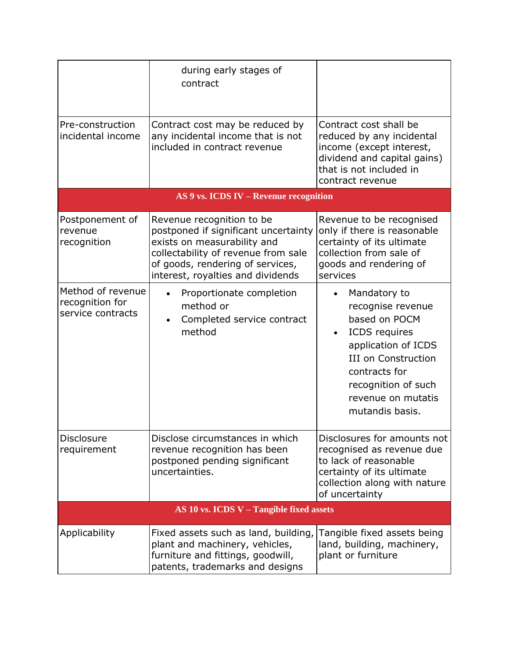|                                                           | during early stages of<br>contract                                                                                                                                                                               |                                                                                                                                                                                                                  |
|-----------------------------------------------------------|------------------------------------------------------------------------------------------------------------------------------------------------------------------------------------------------------------------|------------------------------------------------------------------------------------------------------------------------------------------------------------------------------------------------------------------|
| Pre-construction<br>incidental income                     | Contract cost may be reduced by<br>any incidental income that is not<br>included in contract revenue                                                                                                             | Contract cost shall be<br>reduced by any incidental<br>income (except interest,<br>dividend and capital gains)<br>that is not included in<br>contract revenue                                                    |
|                                                           | AS 9 vs. ICDS IV - Revenue recognition                                                                                                                                                                           |                                                                                                                                                                                                                  |
| Postponement of<br>revenue<br>recognition                 | Revenue recognition to be<br>postponed if significant uncertainty<br>exists on measurability and<br>collectability of revenue from sale<br>of goods, rendering of services,<br>interest, royalties and dividends | Revenue to be recognised<br>only if there is reasonable<br>certainty of its ultimate<br>collection from sale of<br>goods and rendering of<br>services                                                            |
| Method of revenue<br>recognition for<br>service contracts | Proportionate completion<br>method or<br>Completed service contract<br>method                                                                                                                                    | Mandatory to<br>recognise revenue<br>based on POCM<br><b>ICDS</b> requires<br>application of ICDS<br><b>III on Construction</b><br>contracts for<br>recognition of such<br>revenue on mutatis<br>mutandis basis. |
| <b>Disclosure</b><br>requirement                          | Disclose circumstances in which<br>revenue recognition has been<br>postponed pending significant<br>uncertainties.                                                                                               | Disclosures for amounts not<br>recognised as revenue due<br>to lack of reasonable<br>certainty of its ultimate<br>collection along with nature<br>of uncertainty                                                 |
| AS 10 vs. ICDS $V -$ Tangible fixed assets                |                                                                                                                                                                                                                  |                                                                                                                                                                                                                  |
| Applicability                                             | Fixed assets such as land, building,<br>plant and machinery, vehicles,<br>furniture and fittings, goodwill,<br>patents, trademarks and designs                                                                   | Tangible fixed assets being<br>land, building, machinery,<br>plant or furniture                                                                                                                                  |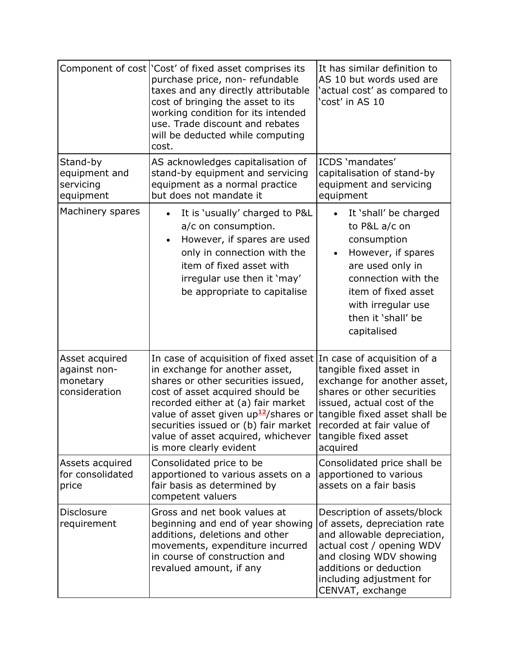|                                                             | Component of cost   'Cost' of fixed asset comprises its<br>purchase price, non- refundable<br>taxes and any directly attributable<br>cost of bringing the asset to its<br>working condition for its intended<br>use. Trade discount and rebates<br>will be deducted while computing<br>cost.                                                                                     | It has similar definition to<br>AS 10 but words used are<br>'actual cost' as compared to<br>'cost' in AS 10                                                                                                                  |
|-------------------------------------------------------------|----------------------------------------------------------------------------------------------------------------------------------------------------------------------------------------------------------------------------------------------------------------------------------------------------------------------------------------------------------------------------------|------------------------------------------------------------------------------------------------------------------------------------------------------------------------------------------------------------------------------|
| Stand-by<br>equipment and<br>servicing<br>equipment         | AS acknowledges capitalisation of<br>stand-by equipment and servicing<br>equipment as a normal practice<br>but does not mandate it                                                                                                                                                                                                                                               | ICDS 'mandates'<br>capitalisation of stand-by<br>equipment and servicing<br>equipment                                                                                                                                        |
| Machinery spares                                            | It is 'usually' charged to P&L<br>a/c on consumption.<br>However, if spares are used<br>only in connection with the<br>item of fixed asset with<br>irregular use then it 'may'<br>be appropriate to capitalise                                                                                                                                                                   | It 'shall' be charged<br>to P&L a/c on<br>consumption<br>However, if spares<br>$\bullet$<br>are used only in<br>connection with the<br>item of fixed asset<br>with irregular use<br>then it 'shall' be<br>capitalised        |
| Asset acquired<br>against non-<br>monetary<br>consideration | In case of acquisition of fixed asset In case of acquisition of a<br>in exchange for another asset,<br>shares or other securities issued,<br>cost of asset acquired should be<br>recorded either at (a) fair market<br>value of asset given up <sup>12</sup> /shares or<br>securities issued or (b) fair market<br>value of asset acquired, whichever<br>is more clearly evident | tangible fixed asset in<br>exchange for another asset,<br>shares or other securities<br>issued, actual cost of the<br>tangible fixed asset shall be<br>recorded at fair value of<br>tangible fixed asset<br>acquired         |
| Assets acquired<br>for consolidated<br>price                | Consolidated price to be<br>apportioned to various assets on a<br>fair basis as determined by<br>competent valuers                                                                                                                                                                                                                                                               | Consolidated price shall be<br>apportioned to various<br>assets on a fair basis                                                                                                                                              |
| Disclosure<br>requirement                                   | Gross and net book values at<br>beginning and end of year showing<br>additions, deletions and other<br>movements, expenditure incurred<br>in course of construction and<br>revalued amount, if any                                                                                                                                                                               | Description of assets/block<br>of assets, depreciation rate<br>and allowable depreciation,<br>actual cost / opening WDV<br>and closing WDV showing<br>additions or deduction<br>including adjustment for<br>CENVAT, exchange |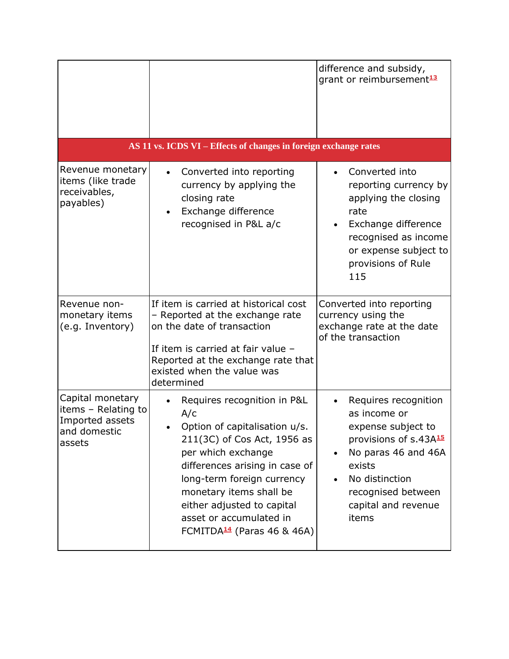|                                                                                      | AS 11 vs. ICDS VI - Effects of changes in foreign exchange rates                                                                                                                                                                                                                                                       | difference and subsidy,<br>grant or reimbursement <sup>13</sup>                                                                                                                                           |
|--------------------------------------------------------------------------------------|------------------------------------------------------------------------------------------------------------------------------------------------------------------------------------------------------------------------------------------------------------------------------------------------------------------------|-----------------------------------------------------------------------------------------------------------------------------------------------------------------------------------------------------------|
| Revenue monetary<br>items (like trade<br>receivables,<br>payables)                   | Converted into reporting<br>currency by applying the<br>closing rate<br>Exchange difference<br>recognised in P&L a/c                                                                                                                                                                                                   | Converted into<br>reporting currency by<br>applying the closing<br>rate<br>Exchange difference<br>recognised as income<br>or expense subject to<br>provisions of Rule<br>115                              |
| Revenue non-<br>monetary items<br>(e.g. Inventory)                                   | If item is carried at historical cost<br>- Reported at the exchange rate<br>on the date of transaction<br>If item is carried at fair value -<br>Reported at the exchange rate that<br>existed when the value was<br>determined                                                                                         | Converted into reporting<br>currency using the<br>exchange rate at the date<br>of the transaction                                                                                                         |
| Capital monetary<br>items - Relating to<br>Imported assets<br>and domestic<br>assets | Requires recognition in P&L<br>A/c<br>Option of capitalisation u/s.<br>211(3C) of Cos Act, 1956 as<br>per which exchange<br>differences arising in case of<br>long-term foreign currency<br>monetary items shall be<br>either adjusted to capital<br>asset or accumulated in<br>FCMITDA <sup>14</sup> (Paras 46 & 46A) | Requires recognition<br>as income or<br>expense subject to<br>provisions of s.43A15<br>No paras 46 and 46A<br>$\bullet$<br>exists<br>No distinction<br>recognised between<br>capital and revenue<br>items |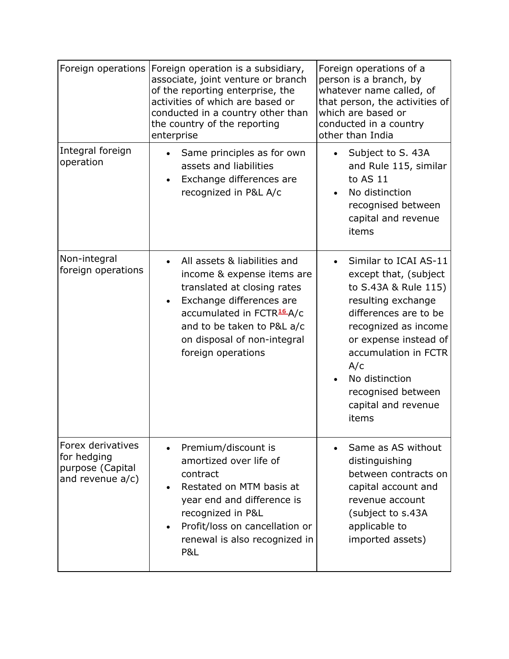| Foreign operations                                                          | Foreign operation is a subsidiary,<br>associate, joint venture or branch<br>of the reporting enterprise, the<br>activities of which are based or<br>conducted in a country other than<br>the country of the reporting<br>enterprise               | Foreign operations of a<br>person is a branch, by<br>whatever name called, of<br>that person, the activities of<br>which are based or<br>conducted in a country<br>other than India                                                                                           |
|-----------------------------------------------------------------------------|---------------------------------------------------------------------------------------------------------------------------------------------------------------------------------------------------------------------------------------------------|-------------------------------------------------------------------------------------------------------------------------------------------------------------------------------------------------------------------------------------------------------------------------------|
| Integral foreign<br>operation                                               | Same principles as for own<br>assets and liabilities<br>Exchange differences are<br>recognized in P&L A/c                                                                                                                                         | Subject to S. 43A<br>and Rule 115, similar<br>to AS 11<br>No distinction<br>recognised between<br>capital and revenue<br>items                                                                                                                                                |
| Non-integral<br>foreign operations                                          | All assets & liabilities and<br>income & expense items are<br>translated at closing rates<br>Exchange differences are<br>accumulated in FCTR <sup>16</sup> A/c<br>and to be taken to P&L a/c<br>on disposal of non-integral<br>foreign operations | Similar to ICAI AS-11<br>except that, (subject<br>to S.43A & Rule 115)<br>resulting exchange<br>differences are to be<br>recognized as income<br>or expense instead of<br>accumulation in FCTR<br>A/c<br>No distinction<br>recognised between<br>capital and revenue<br>items |
| Forex derivatives<br>for hedging<br>purpose (Capital<br>and revenue $a/c$ ) | Premium/discount is<br>amortized over life of<br>contract<br>Restated on MTM basis at<br>year end and difference is<br>recognized in P&L<br>Profit/loss on cancellation or<br>$\bullet$<br>renewal is also recognized in<br>P&L                   | Same as AS without<br>distinguishing<br>between contracts on<br>capital account and<br>revenue account<br>(subject to s.43A)<br>applicable to<br>imported assets)                                                                                                             |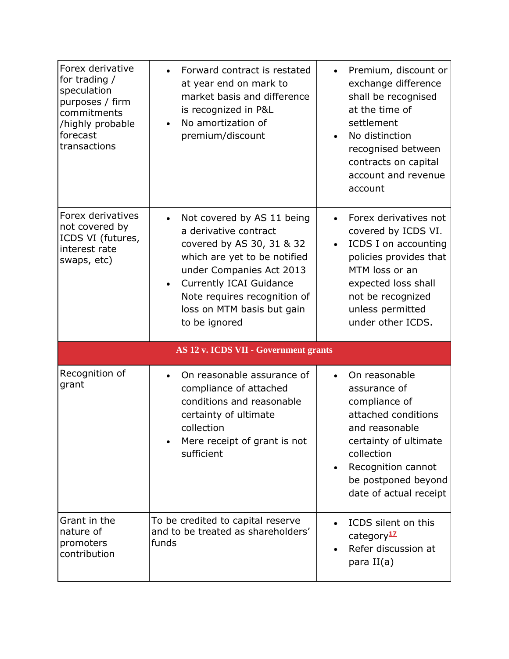| Forex derivative<br>for trading /<br>speculation<br>purposes / firm<br>commitments<br>/highly probable<br>forecast<br>transactions | Forward contract is restated<br>at year end on mark to<br>market basis and difference<br>is recognized in P&L<br>No amortization of<br>$\bullet$<br>premium/discount                                                                                          | Premium, discount or<br>$\bullet$<br>exchange difference<br>shall be recognised<br>at the time of<br>settlement<br>No distinction<br>recognised between<br>contracts on capital<br>account and revenue<br>account               |
|------------------------------------------------------------------------------------------------------------------------------------|---------------------------------------------------------------------------------------------------------------------------------------------------------------------------------------------------------------------------------------------------------------|---------------------------------------------------------------------------------------------------------------------------------------------------------------------------------------------------------------------------------|
| Forex derivatives<br>not covered by<br>ICDS VI (futures,<br>interest rate<br>swaps, etc)                                           | Not covered by AS 11 being<br>a derivative contract<br>covered by AS 30, 31 & 32<br>which are yet to be notified<br>under Companies Act 2013<br><b>Currently ICAI Guidance</b><br>Note requires recognition of<br>loss on MTM basis but gain<br>to be ignored | Forex derivatives not<br>covered by ICDS VI.<br>ICDS I on accounting<br>policies provides that<br>MTM loss or an<br>expected loss shall<br>not be recognized<br>unless permitted<br>under other ICDS.                           |
|                                                                                                                                    | AS 12 v. ICDS VII - Government grants                                                                                                                                                                                                                         |                                                                                                                                                                                                                                 |
| Recognition of<br>grant                                                                                                            | On reasonable assurance of<br>$\bullet$<br>compliance of attached<br>conditions and reasonable<br>certainty of ultimate<br>collection<br>Mere receipt of grant is not<br>sufficient                                                                           | On reasonable<br>$\bullet$<br>assurance of<br>compliance of<br>attached conditions<br>and reasonable<br>certainty of ultimate<br>collection<br>Recognition cannot<br>$\bullet$<br>be postponed beyond<br>date of actual receipt |
| Grant in the<br>nature of<br>promoters<br>contribution                                                                             | To be credited to capital reserve<br>and to be treated as shareholders'<br>funds                                                                                                                                                                              | ICDS silent on this<br>category <sup>17</sup><br>Refer discussion at<br>para $II(a)$                                                                                                                                            |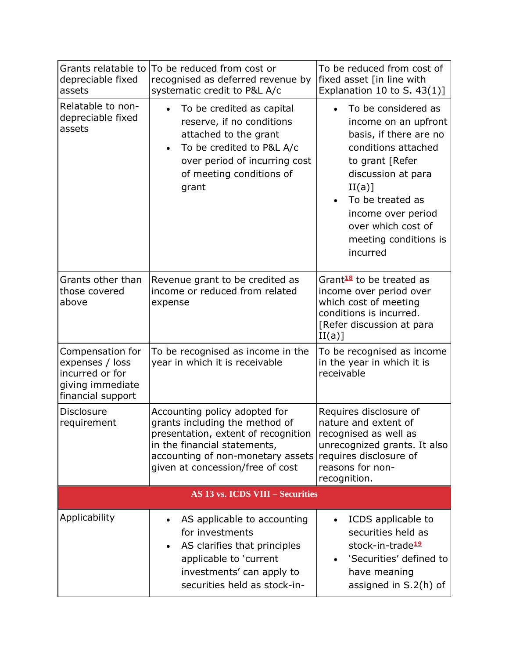| Grants relatable to<br>depreciable fixed<br>assets                                              | To be reduced from cost or<br>recognised as deferred revenue by<br>systematic credit to P&L A/c                                                                                                                 | To be reduced from cost of<br>fixed asset [in line with<br>Explanation 10 to S. $43(1)$ ]                                                                                                                                                            |
|-------------------------------------------------------------------------------------------------|-----------------------------------------------------------------------------------------------------------------------------------------------------------------------------------------------------------------|------------------------------------------------------------------------------------------------------------------------------------------------------------------------------------------------------------------------------------------------------|
| Relatable to non-<br>depreciable fixed<br>assets                                                | To be credited as capital<br>reserve, if no conditions<br>attached to the grant<br>To be credited to P&L A/c<br>over period of incurring cost<br>of meeting conditions of<br>grant                              | To be considered as<br>income on an upfront<br>basis, if there are no<br>conditions attached<br>to grant [Refer<br>discussion at para<br>II(a)]<br>To be treated as<br>income over period<br>over which cost of<br>meeting conditions is<br>incurred |
| Grants other than<br>those covered<br>above                                                     | Revenue grant to be credited as<br>income or reduced from related<br>expense                                                                                                                                    | Grant <sup>18</sup> to be treated as<br>income over period over<br>which cost of meeting<br>conditions is incurred.<br>[Refer discussion at para<br>II(a)]                                                                                           |
| Compensation for<br>expenses / loss<br>incurred or for<br>giving immediate<br>financial support | To be recognised as income in the<br>year in which it is receivable                                                                                                                                             | To be recognised as income<br>in the year in which it is<br>receivable                                                                                                                                                                               |
| <b>Disclosure</b><br>requirement                                                                | Accounting policy adopted for<br>grants including the method of<br>presentation, extent of recognition<br>in the financial statements,<br>accounting of non-monetary assets<br>given at concession/free of cost | Requires disclosure of<br>nature and extent of<br>recognised as well as<br>unrecognized grants. It also<br>requires disclosure of<br>reasons for non-<br>recognition.                                                                                |
| <b>AS 13 vs. ICDS VIII – Securities</b>                                                         |                                                                                                                                                                                                                 |                                                                                                                                                                                                                                                      |
| Applicability                                                                                   | AS applicable to accounting<br>for investments<br>AS clarifies that principles<br>applicable to 'current<br>investments' can apply to<br>securities held as stock-in-                                           | ICDS applicable to<br>securities held as<br>stock-in-trade <sup>19</sup><br>'Securities' defined to<br>have meaning<br>assigned in S.2(h) of                                                                                                         |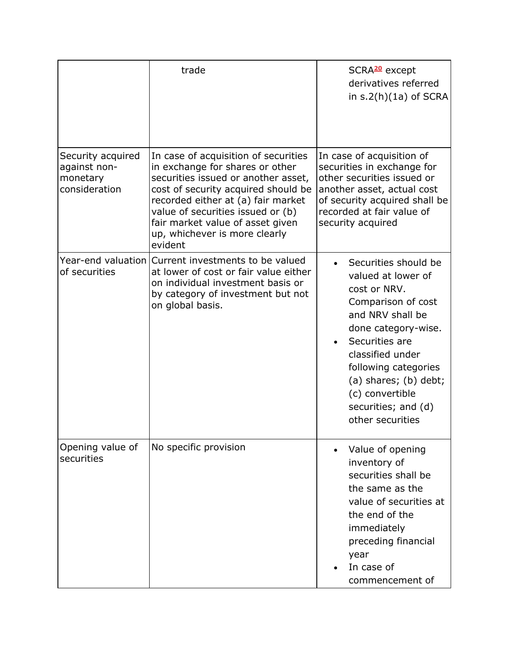|                                                                | trade                                                                                                                                                                                                                                                                                                            | SCRA <sup>20</sup> except<br>derivatives referred<br>in $s.2(h)(1a)$ of SCRA                                                                                                                                                                                                         |
|----------------------------------------------------------------|------------------------------------------------------------------------------------------------------------------------------------------------------------------------------------------------------------------------------------------------------------------------------------------------------------------|--------------------------------------------------------------------------------------------------------------------------------------------------------------------------------------------------------------------------------------------------------------------------------------|
| Security acquired<br>against non-<br>monetary<br>consideration | In case of acquisition of securities<br>in exchange for shares or other<br>securities issued or another asset,<br>cost of security acquired should be<br>recorded either at (a) fair market<br>value of securities issued or (b)<br>fair market value of asset given<br>up, whichever is more clearly<br>evident | In case of acquisition of<br>securities in exchange for<br>other securities issued or<br>another asset, actual cost<br>of security acquired shall be<br>recorded at fair value of<br>security acquired                                                                               |
| of securities                                                  | Year-end valuation Current investments to be valued<br>at lower of cost or fair value either<br>on individual investment basis or<br>by category of investment but not<br>on global basis.                                                                                                                       | Securities should be<br>valued at lower of<br>cost or NRV.<br>Comparison of cost<br>and NRV shall be<br>done category-wise.<br>Securities are<br>classified under<br>following categories<br>$(a)$ shares; $(b)$ debt;<br>(c) convertible<br>securities; and (d)<br>other securities |
| Opening value of<br>securities                                 | No specific provision                                                                                                                                                                                                                                                                                            | Value of opening<br>inventory of<br>securities shall be<br>the same as the<br>value of securities at<br>the end of the<br>immediately<br>preceding financial<br>year<br>In case of<br>commencement of                                                                                |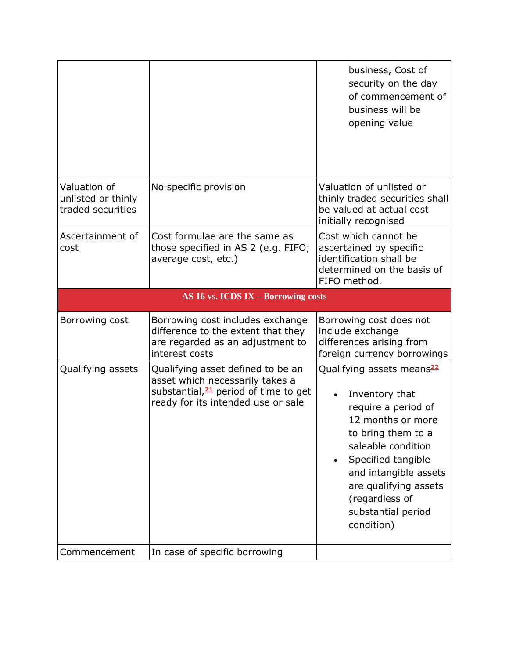|                                                         |                                                                                                                                                                | business, Cost of<br>security on the day<br>of commencement of<br>business will be<br>opening value                                                                                                                                                                           |
|---------------------------------------------------------|----------------------------------------------------------------------------------------------------------------------------------------------------------------|-------------------------------------------------------------------------------------------------------------------------------------------------------------------------------------------------------------------------------------------------------------------------------|
| Valuation of<br>unlisted or thinly<br>traded securities | No specific provision                                                                                                                                          | Valuation of unlisted or<br>thinly traded securities shall<br>be valued at actual cost<br>initially recognised                                                                                                                                                                |
| Ascertainment of<br>cost                                | Cost formulae are the same as<br>those specified in AS 2 (e.g. FIFO;<br>average cost, etc.)                                                                    | Cost which cannot be<br>ascertained by specific<br>identification shall be<br>determined on the basis of<br>FIFO method.                                                                                                                                                      |
|                                                         | AS 16 vs. ICDS IX - Borrowing costs                                                                                                                            |                                                                                                                                                                                                                                                                               |
| Borrowing cost                                          | Borrowing cost includes exchange<br>difference to the extent that they<br>are regarded as an adjustment to<br>interest costs                                   | Borrowing cost does not<br>include exchange<br>differences arising from<br>foreign currency borrowings                                                                                                                                                                        |
| Qualifying assets                                       | Qualifying asset defined to be an<br>asset which necessarily takes a<br>substantial, <sup>21</sup> period of time to get<br>ready for its intended use or sale | Qualifying assets means <sup>22</sup><br>Inventory that<br>require a period of<br>12 months or more<br>to bring them to a<br>saleable condition<br>Specified tangible<br>and intangible assets<br>are qualifying assets<br>(regardless of<br>substantial period<br>condition) |
|                                                         |                                                                                                                                                                |                                                                                                                                                                                                                                                                               |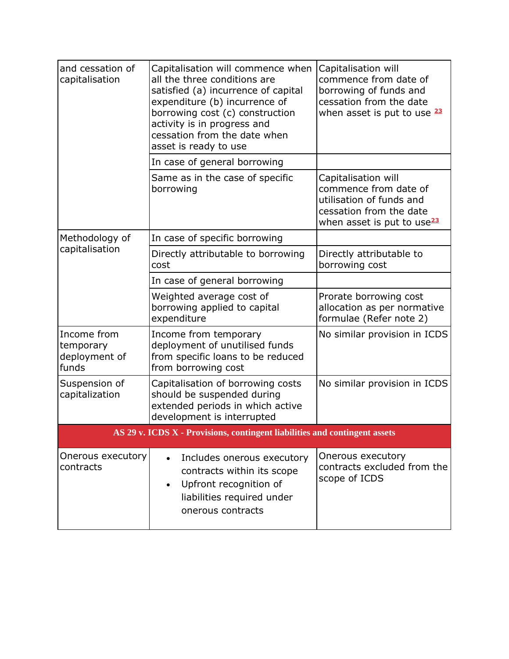| and cessation of<br>capitalisation                                         | Capitalisation will commence when<br>all the three conditions are<br>satisfied (a) incurrence of capital<br>expenditure (b) incurrence of<br>borrowing cost (c) construction<br>activity is in progress and<br>cessation from the date when<br>asset is ready to use | Capitalisation will<br>commence from date of<br>borrowing of funds and<br>cessation from the date<br>when asset is put to use 23              |  |  |
|----------------------------------------------------------------------------|----------------------------------------------------------------------------------------------------------------------------------------------------------------------------------------------------------------------------------------------------------------------|-----------------------------------------------------------------------------------------------------------------------------------------------|--|--|
|                                                                            | In case of general borrowing                                                                                                                                                                                                                                         |                                                                                                                                               |  |  |
|                                                                            | Same as in the case of specific<br>borrowing                                                                                                                                                                                                                         | Capitalisation will<br>commence from date of<br>utilisation of funds and<br>cessation from the date<br>when asset is put to use <sup>23</sup> |  |  |
| Methodology of<br>capitalisation                                           | In case of specific borrowing                                                                                                                                                                                                                                        |                                                                                                                                               |  |  |
|                                                                            | Directly attributable to borrowing<br>cost                                                                                                                                                                                                                           | Directly attributable to<br>borrowing cost                                                                                                    |  |  |
|                                                                            | In case of general borrowing                                                                                                                                                                                                                                         |                                                                                                                                               |  |  |
|                                                                            | Weighted average cost of<br>borrowing applied to capital<br>expenditure                                                                                                                                                                                              | Prorate borrowing cost<br>allocation as per normative<br>formulae (Refer note 2)                                                              |  |  |
| Income from<br>temporary<br>deployment of<br>funds                         | Income from temporary<br>deployment of unutilised funds<br>from specific loans to be reduced<br>from borrowing cost                                                                                                                                                  | No similar provision in ICDS                                                                                                                  |  |  |
| Suspension of<br>capitalization                                            | Capitalisation of borrowing costs<br>should be suspended during<br>extended periods in which active<br>development is interrupted                                                                                                                                    | No similar provision in ICDS                                                                                                                  |  |  |
| AS 29 v. ICDS X - Provisions, contingent liabilities and contingent assets |                                                                                                                                                                                                                                                                      |                                                                                                                                               |  |  |
| Onerous executory<br>contracts                                             | Includes onerous executory<br>contracts within its scope<br>Upfront recognition of<br>liabilities required under<br>onerous contracts                                                                                                                                | Onerous executory<br>contracts excluded from the<br>scope of ICDS                                                                             |  |  |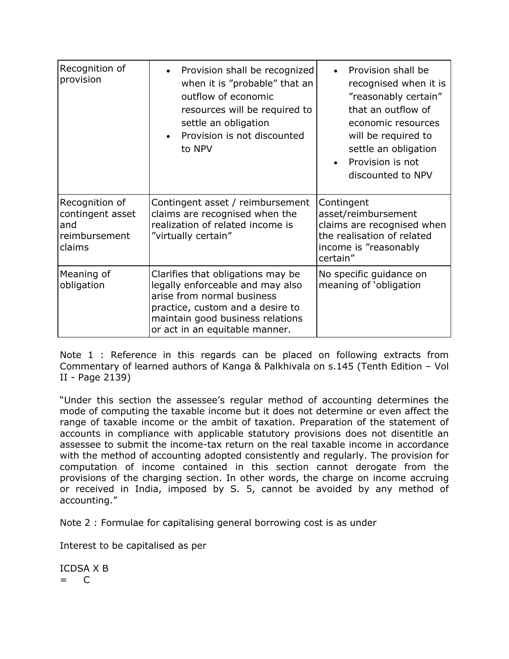| Recognition of<br>provision                                          | Provision shall be recognized<br>when it is "probable" that an<br>outflow of economic<br>resources will be required to<br>settle an obligation<br>Provision is not discounted<br>to NPV                       | Provision shall be<br>recognised when it is<br>"reasonably certain"<br>that an outflow of<br>economic resources<br>will be required to<br>settle an obligation<br>Provision is not<br>discounted to NPV |
|----------------------------------------------------------------------|---------------------------------------------------------------------------------------------------------------------------------------------------------------------------------------------------------------|---------------------------------------------------------------------------------------------------------------------------------------------------------------------------------------------------------|
| Recognition of<br>contingent asset<br>and<br>reimbursement<br>claims | Contingent asset / reimbursement<br>claims are recognised when the<br>realization of related income is<br>"virtually certain"                                                                                 | Contingent<br>asset/reimbursement<br>claims are recognised when<br>the realisation of related<br>income is "reasonably<br>certain"                                                                      |
| Meaning of<br>obligation                                             | Clarifies that obligations may be<br>legally enforceable and may also<br>arise from normal business<br>practice, custom and a desire to<br>maintain good business relations<br>or act in an equitable manner. | No specific guidance on<br>meaning of 'obligation                                                                                                                                                       |

Note 1 : Reference in this regards can be placed on following extracts from Commentary of learned authors of Kanga & Palkhivala on s.145 (Tenth Edition – Vol II - Page 2139)

"Under this section the assessee's regular method of accounting determines the mode of computing the taxable income but it does not determine or even affect the range of taxable income or the ambit of taxation. Preparation of the statement of accounts in compliance with applicable statutory provisions does not disentitle an assessee to submit the income-tax return on the real taxable income in accordance with the method of accounting adopted consistently and regularly. The provision for computation of income contained in this section cannot derogate from the provisions of the charging section. In other words, the charge on income accruing or received in India, imposed by S. 5, cannot be avoided by any method of accounting."

Note 2 : Formulae for capitalising general borrowing cost is as under

Interest to be capitalised as per

ICDSA X B = C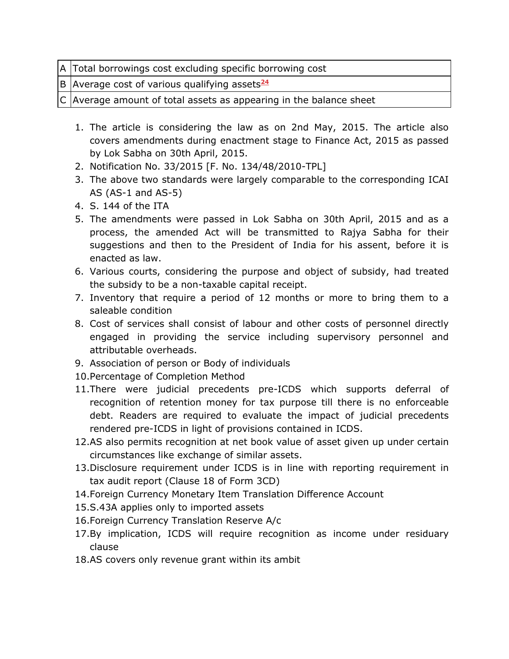B Average cost of various qualifying assets<sup>24</sup>

 $C$  Average amount of total assets as appearing in the balance sheet

- 1. The article is considering the law as on 2nd May, 2015. The article also covers amendments during enactment stage to Finance Act, 2015 as passed by Lok Sabha on 30th April, 2015.
- 2. Notification No. 33/2015 [F. No. 134/48/2010-TPL]
- 3. The above two standards were largely comparable to the corresponding ICAI AS (AS-1 and AS-5)
- 4. S. 144 of the ITA
- 5. The amendments were passed in Lok Sabha on 30th April, 2015 and as a process, the amended Act will be transmitted to Rajya Sabha for their suggestions and then to the President of India for his assent, before it is enacted as law.
- 6. Various courts, considering the purpose and object of subsidy, had treated the subsidy to be a non-taxable capital receipt.
- 7. Inventory that require a period of 12 months or more to bring them to a saleable condition
- 8. Cost of services shall consist of labour and other costs of personnel directly engaged in providing the service including supervisory personnel and attributable overheads.
- 9. Association of person or Body of individuals
- 10.Percentage of Completion Method
- 11.There were judicial precedents pre-ICDS which supports deferral of recognition of retention money for tax purpose till there is no enforceable debt. Readers are required to evaluate the impact of judicial precedents rendered pre-ICDS in light of provisions contained in ICDS.
- 12.AS also permits recognition at net book value of asset given up under certain circumstances like exchange of similar assets.
- 13.Disclosure requirement under ICDS is in line with reporting requirement in tax audit report (Clause 18 of Form 3CD)
- 14.Foreign Currency Monetary Item Translation Difference Account
- 15.S.43A applies only to imported assets
- 16.Foreign Currency Translation Reserve A/c
- 17.By implication, ICDS will require recognition as income under residuary clause
- 18.AS covers only revenue grant within its ambit